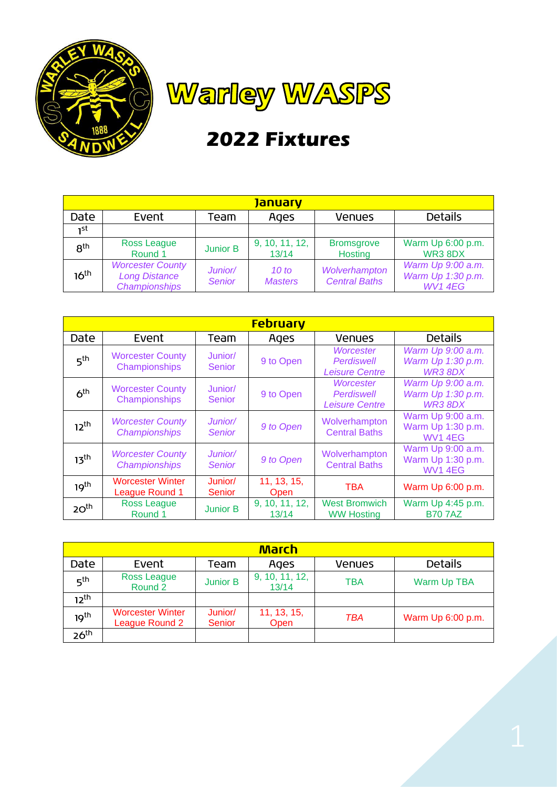



## **2022 Fixtures**

| <u>January</u>   |                                                                         |                          |                         |                                       |                                                          |  |  |  |
|------------------|-------------------------------------------------------------------------|--------------------------|-------------------------|---------------------------------------|----------------------------------------------------------|--|--|--|
| Date             | Event                                                                   | Team                     | Ages                    | <b>Venues</b>                         | <b>Details</b>                                           |  |  |  |
| ٦st              |                                                                         |                          |                         |                                       |                                                          |  |  |  |
| 8 <sup>th</sup>  | Ross League<br>Round 1                                                  | <b>Junior B</b>          | 9, 10, 11, 12,<br>13/14 | <b>Bromsgrove</b><br>Hosting          | Warm Up 6:00 p.m.<br>WR38DX                              |  |  |  |
| 16 <sup>th</sup> | <b>Worcester County</b><br><b>Long Distance</b><br><b>Championships</b> | Junior/<br><b>Senior</b> | 10 to<br><b>Masters</b> | Wolverhampton<br><b>Central Baths</b> | Warm Up 9:00 a.m.<br>Warm Up 1:30 p.m.<br><b>WV1 4EG</b> |  |  |  |

| <b>February</b>  |                                                 |                          |                         |                                                  |                                                         |  |  |  |
|------------------|-------------------------------------------------|--------------------------|-------------------------|--------------------------------------------------|---------------------------------------------------------|--|--|--|
| Date             | Event                                           | Team                     | Ages                    | <b>Venues</b>                                    | <b>Details</b>                                          |  |  |  |
| 5 <sup>th</sup>  | <b>Worcester County</b><br>Championships        | Junior/<br><b>Senior</b> | 9 to Open               | Worcester<br>Perdiswell<br><b>Leisure Centre</b> | Warm Up 9:00 a.m.<br>Warm Up 1:30 p.m.<br>WR3 8DX       |  |  |  |
| 6 <sup>th</sup>  | <b>Worcester County</b><br>Championships        | Junior/<br><b>Senior</b> | 9 to Open               | Worcester<br>Perdiswell<br><b>Leisure Centre</b> | Warm Up 9:00 a.m.<br>Warm Up 1:30 p.m.<br>WR38DX        |  |  |  |
| $12^{th}$        | <b>Worcester County</b><br><b>Championships</b> | Junior/<br><b>Senior</b> | 9 to Open               | Wolverhampton<br><b>Central Baths</b>            | Warm Up 9:00 a.m.<br>Warm Up 1:30 p.m.<br><b>WV14EG</b> |  |  |  |
| 13 <sup>th</sup> | <b>Worcester County</b><br><b>Championships</b> | Junior/<br><b>Senior</b> | 9 to Open               | Wolverhampton<br><b>Central Baths</b>            | Warm Up 9:00 a.m.<br>Warm Up 1:30 p.m.<br><b>WV14EG</b> |  |  |  |
| 19 <sup>th</sup> | <b>Worcester Winter</b><br>League Round 1       | Junior/<br><b>Senior</b> | 11, 13, 15,<br>Open     | <b>TBA</b>                                       | Warm Up 6:00 p.m.                                       |  |  |  |
| 20 <sup>th</sup> | <b>Ross League</b><br>Round 1                   | <b>Junior B</b>          | 9, 10, 11, 12,<br>13/14 | <b>West Bromwich</b><br><b>WW Hosting</b>        | Warm Up 4:45 p.m.<br><b>B707AZ</b>                      |  |  |  |

| <u>March</u>     |                                           |                   |                             |               |                   |  |  |  |  |
|------------------|-------------------------------------------|-------------------|-----------------------------|---------------|-------------------|--|--|--|--|
| Date             | Event                                     | Team              | Ages                        | <b>Venues</b> | <b>Details</b>    |  |  |  |  |
| 5 <sup>th</sup>  | <b>Ross League</b><br>Round 2             | <b>Junior B</b>   | $9, 10, 11, 12,$<br>$13/14$ | <b>TBA</b>    | Warm Up TBA       |  |  |  |  |
| $12^{th}$        |                                           |                   |                             |               |                   |  |  |  |  |
| 19 <sup>th</sup> | <b>Worcester Winter</b><br>League Round 2 | Junior/<br>Senior | 11, 13, 15,<br>Open         | <b>TBA</b>    | Warm Up 6:00 p.m. |  |  |  |  |
| 26 <sup>th</sup> |                                           |                   |                             |               |                   |  |  |  |  |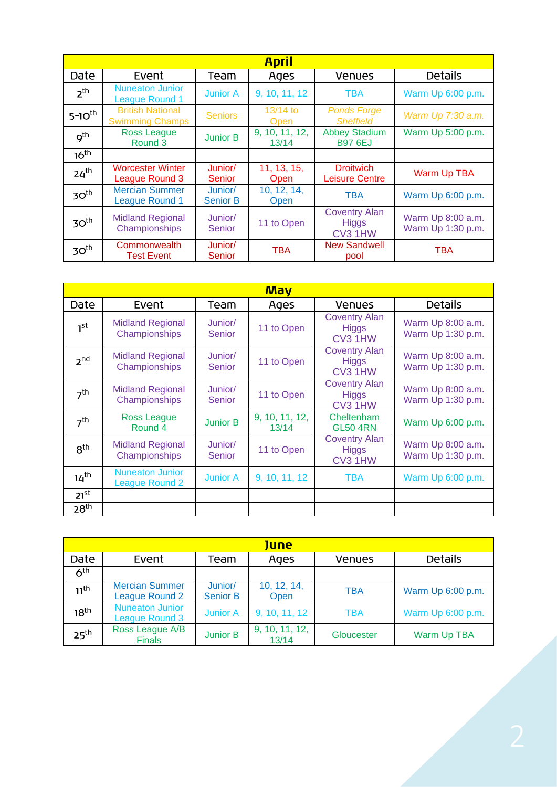|                  |                                                   |                            | <u>April</u>               |                                                 |                                        |
|------------------|---------------------------------------------------|----------------------------|----------------------------|-------------------------------------------------|----------------------------------------|
| Date             | Event                                             | Team                       | Ages                       | <b>Venues</b>                                   | <b>Details</b>                         |
| 2 <sup>th</sup>  | <b>Nuneaton Junior</b><br><b>League Round 1</b>   | <b>Junior A</b>            | 9, 10, 11, 12              | <b>TBA</b>                                      | Warm Up 6:00 p.m.                      |
| $5-10^{th}$      | <b>British National</b><br><b>Swimming Champs</b> | <b>Seniors</b>             | $13/14$ to<br><b>Open</b>  | <b>Ponds Forge</b><br><b>Sheffield</b>          | Warm Up 7:30 a.m.                      |
| $q^{\text{th}}$  | <b>Ross League</b><br>Round 3                     | <b>Junior B</b>            | 9, 10, 11, 12,<br>13/14    | <b>Abbey Stadium</b><br><b>B97 6EJ</b>          | Warm Up 5:00 p.m.                      |
| 16 <sup>th</sup> |                                                   |                            |                            |                                                 |                                        |
| 24 <sup>th</sup> | <b>Worcester Winter</b><br>League Round 3         | Junior/<br>Senior          | 11, 13, 15,<br><b>Open</b> | <b>Droitwich</b><br><b>Leisure Centre</b>       | <b>Warm Up TBA</b>                     |
| 30 <sup>th</sup> | <b>Mercian Summer</b><br><b>League Round 1</b>    | Junior/<br><b>Senior B</b> | 10, 12, 14,<br>Open        | <b>TBA</b>                                      | Warm Up 6:00 p.m.                      |
| 30 <sup>th</sup> | <b>Midland Regional</b><br>Championships          | Junior/<br>Senior          | 11 to Open                 | <b>Coventry Alan</b><br><b>Higgs</b><br>CV3 1HW | Warm Up 8:00 a.m.<br>Warm Up 1:30 p.m. |
| 30 <sup>th</sup> | Commonwealth<br><b>Test Event</b>                 | Junior/<br>Senior          | <b>TBA</b>                 | <b>New Sandwell</b><br>pool                     | <b>TBA</b>                             |

| <b>May</b>       |                                          |                          |                         |                                                                         |                                        |  |  |  |
|------------------|------------------------------------------|--------------------------|-------------------------|-------------------------------------------------------------------------|----------------------------------------|--|--|--|
| Date             | Event                                    | Team                     | Ages                    | Venues                                                                  | <b>Details</b>                         |  |  |  |
| 1 <sup>st</sup>  | <b>Midland Regional</b><br>Championships | Junior/<br><b>Senior</b> | 11 to Open              | <b>Coventry Alan</b><br><b>Higgs</b><br>CV <sub>3</sub> 1H <sub>W</sub> | Warm Up 8:00 a.m.<br>Warm Up 1:30 p.m. |  |  |  |
| 2 <sub>nd</sub>  | <b>Midland Regional</b><br>Championships | Junior/<br>Senior        | 11 to Open              | <b>Coventry Alan</b><br><b>Higgs</b><br>CV3 1HW                         | Warm Up 8:00 a.m.<br>Warm Up 1:30 p.m. |  |  |  |
| 7 <sup>th</sup>  | <b>Midland Regional</b><br>Championships | Junior/<br><b>Senior</b> | 11 to Open              | <b>Coventry Alan</b><br><b>Higgs</b><br>CV3 1HW                         | Warm Up 8:00 a.m.<br>Warm Up 1:30 p.m. |  |  |  |
| 7 <sup>th</sup>  | <b>Ross League</b><br>Round 4            | <b>Junior B</b>          | 9, 10, 11, 12,<br>13/14 | Cheltenham<br><b>GL50 4RN</b>                                           | Warm Up 6:00 p.m.                      |  |  |  |
| $R^{th}$         | <b>Midland Regional</b><br>Championships | Junior/<br><b>Senior</b> | 11 to Open              | <b>Coventry Alan</b><br><b>Higgs</b><br>CV3 1HW                         | Warm Up 8:00 a.m.<br>Warm Up 1:30 p.m. |  |  |  |
| 14 <sup>th</sup> | <b>Nuneaton Junior</b><br>League Round 2 | <b>Junior A</b>          | 9, 10, 11, 12           | <b>TBA</b>                                                              | Warm Up 6:00 p.m.                      |  |  |  |
| 21 <sup>st</sup> |                                          |                          |                         |                                                                         |                                        |  |  |  |
| 28 <sup>th</sup> |                                          |                          |                         |                                                                         |                                        |  |  |  |

| <b>June</b>      |                                                 |                            |                         |               |                   |  |  |  |
|------------------|-------------------------------------------------|----------------------------|-------------------------|---------------|-------------------|--|--|--|
| Date             | Event                                           | Team                       | Ages                    | <b>Venues</b> | <b>Details</b>    |  |  |  |
| 6 <sup>th</sup>  |                                                 |                            |                         |               |                   |  |  |  |
| 11 <sup>th</sup> | <b>Mercian Summer</b><br>League Round 2         | Junior/<br><b>Senior B</b> | 10, 12, 14,<br>Open     | <b>TBA</b>    | Warm Up 6:00 p.m. |  |  |  |
| 18 <sup>th</sup> | <b>Nuneaton Junior</b><br><b>League Round 3</b> | <b>Junior A</b>            | 9, 10, 11, 12           | <b>TBA</b>    | Warm Up 6:00 p.m. |  |  |  |
| 25 <sup>th</sup> | Ross League A/B<br><b>Finals</b>                | <b>Junior B</b>            | 9, 10, 11, 12,<br>13/14 | Gloucester    | Warm Up TBA       |  |  |  |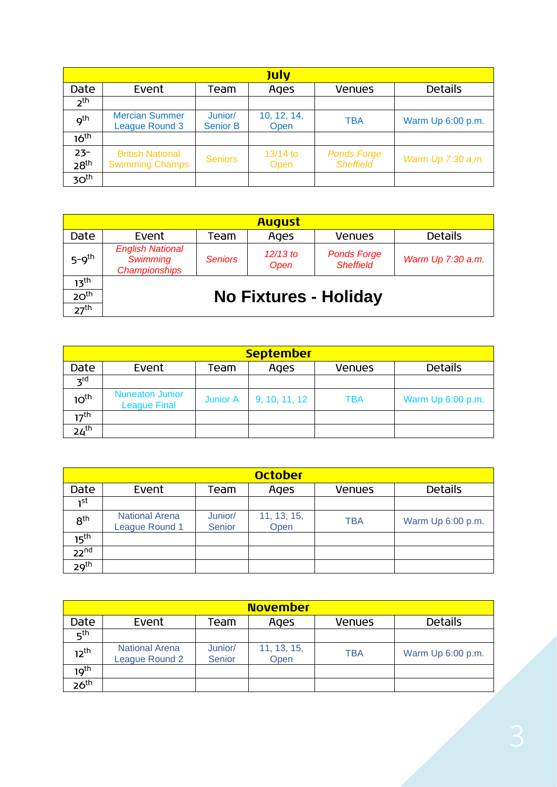| <b>July</b>                |                                                   |                            |                     |                                        |                   |  |  |  |
|----------------------------|---------------------------------------------------|----------------------------|---------------------|----------------------------------------|-------------------|--|--|--|
| Date                       | Event                                             | Team                       | Ages                | <b>Venues</b>                          | <b>Details</b>    |  |  |  |
| $2^{\text{th}}$            |                                                   |                            |                     |                                        |                   |  |  |  |
| q <sup>th</sup>            | <b>Mercian Summer</b><br><b>League Round 3</b>    | Junior/<br><b>Senior B</b> | 10, 12, 14,<br>Open | <b>TBA</b>                             | Warm Up 6:00 p.m. |  |  |  |
| 16 <sup>th</sup>           |                                                   |                            |                     |                                        |                   |  |  |  |
| $23 -$<br>28 <sup>th</sup> | <b>British National</b><br><b>Swimming Champs</b> | <b>Seniors</b>             | 13/14 to<br>Open    | <b>Ponds Forge</b><br><b>Sheffield</b> | Warm Up 7:30 a.m. |  |  |  |
| 30 <sup>th</sup>           |                                                   |                            |                     |                                        |                   |  |  |  |

| <b>August</b>                        |                                                                    |                |                    |                                        |                   |  |  |  |  |
|--------------------------------------|--------------------------------------------------------------------|----------------|--------------------|----------------------------------------|-------------------|--|--|--|--|
| Date                                 | Event                                                              | Team           | Ages               | <b>Venues</b>                          | <b>Details</b>    |  |  |  |  |
| $5 - 9$ <sup>th</sup>                | <b>English National</b><br><b>Swimming</b><br><b>Championships</b> | <b>Seniors</b> | $12/13$ to<br>Open | <b>Ponds Forge</b><br><b>Sheffield</b> | Warm Up 7:30 a.m. |  |  |  |  |
| 13 <sup>th</sup><br>20 <sup>th</sup> |                                                                    |                |                    | <b>No Fixtures - Holiday</b>           |                   |  |  |  |  |
| 27 <sup>th</sup>                     |                                                                    |                |                    |                                        |                   |  |  |  |  |

| <b>September</b> |                                               |                 |               |               |                   |  |  |  |  |
|------------------|-----------------------------------------------|-----------------|---------------|---------------|-------------------|--|--|--|--|
| Date             | Event                                         | Team            | Ages          | <b>Venues</b> | <b>Details</b>    |  |  |  |  |
| $z^{rd}$         |                                               |                 |               |               |                   |  |  |  |  |
| 10 <sup>th</sup> | <b>Nuneaton Junior</b><br><b>League Final</b> | <b>Junior A</b> | 9, 10, 11, 12 | <b>TBA</b>    | Warm Up 6:00 p.m. |  |  |  |  |
| 17 <sup>th</sup> |                                               |                 |               |               |                   |  |  |  |  |
| 24 <sup>th</sup> |                                               |                 |               |               |                   |  |  |  |  |

| <b>October</b>   |                                         |                   |                     |               |                   |  |  |  |
|------------------|-----------------------------------------|-------------------|---------------------|---------------|-------------------|--|--|--|
| Date             | Event                                   | Team              | Ages                | <b>Venues</b> | <b>Details</b>    |  |  |  |
| ւst              |                                         |                   |                     |               |                   |  |  |  |
| 8 <sup>th</sup>  | <b>National Arena</b><br>League Round 1 | Junior/<br>Senior | 11, 13, 15,<br>Open | <b>TBA</b>    | Warm Up 6:00 p.m. |  |  |  |
| 15 <sup>th</sup> |                                         |                   |                     |               |                   |  |  |  |
| 22 <sup>nd</sup> |                                         |                   |                     |               |                   |  |  |  |
| 29 <sup>th</sup> |                                         |                   |                     |               |                   |  |  |  |

| <b>November</b>  |                                         |                          |                     |               |                   |  |  |  |  |
|------------------|-----------------------------------------|--------------------------|---------------------|---------------|-------------------|--|--|--|--|
| Date             | Event                                   | Team                     | Ages                | <b>Venues</b> | <b>Details</b>    |  |  |  |  |
| 5 <sup>th</sup>  |                                         |                          |                     |               |                   |  |  |  |  |
| 12 <sup>th</sup> | <b>National Arena</b><br>League Round 2 | Junior/<br><b>Senior</b> | 11, 13, 15,<br>Open | <b>TBA</b>    | Warm Up 6:00 p.m. |  |  |  |  |
| 19 <sup>th</sup> |                                         |                          |                     |               |                   |  |  |  |  |
| 26 <sup>th</sup> |                                         |                          |                     |               |                   |  |  |  |  |